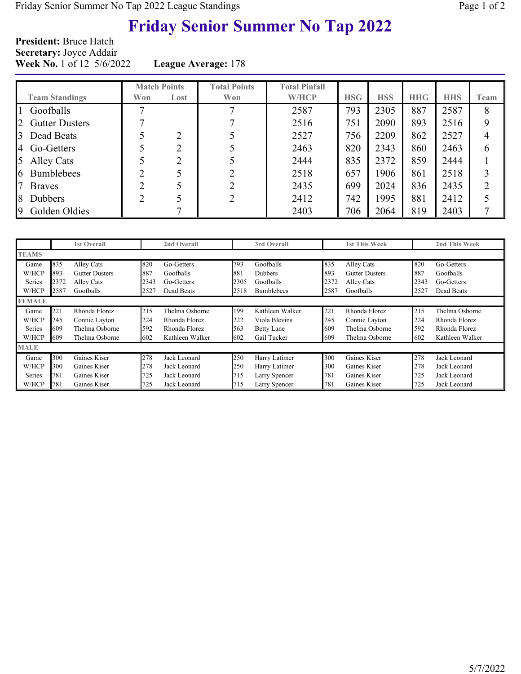# Friday Senior Summer No Tap 2022

President: Bruce Hatch Secretary: Joyce Addair Week No. 1 of 12 5/6/2022 League Average: 178

|                            | <b>Match Points</b> |      | <b>Total Points</b> | <b>Total Pinfall</b> |            |            |            |            |      |
|----------------------------|---------------------|------|---------------------|----------------------|------------|------------|------------|------------|------|
| <b>Team Standings</b>      | Won                 | Lost | Won                 | <b>W/HCP</b>         | <b>HSG</b> | <b>HSS</b> | <b>HHG</b> | <b>HHS</b> | Team |
| Goofballs                  |                     |      |                     | 2587                 | 793        | 2305       | 887        | 2587       | 8    |
| 2<br><b>Gutter Dusters</b> |                     |      |                     | 2516                 | 751        | 2090       | 893        | 2516       | 9    |
| 3<br>Dead Beats            |                     | ∍    |                     | 2527                 | 756        | 2209       | 862        | 2527       | 4    |
| 4 Go-Getters               |                     |      |                     | 2463                 | 820        | 2343       | 860        | 2463       | 6    |
| 5<br><b>Alley Cats</b>     |                     |      |                     | 2444                 | 835        | 2372       | 859        | 2444       |      |
| <b>Bumblebees</b><br>6     | ◠                   |      |                     | 2518                 | 657        | 1906       | 861        | 2518       | 3    |
| <b>Braves</b>              | ◠                   |      | ◠                   | 2435                 | 699        | 2024       | 836        | 2435       | 2    |
| 8<br><b>Dubbers</b>        | ◠                   |      |                     | 2412                 | 742        | 1995       | 881        | 2412       |      |
| 9<br>Golden Oldies         |                     |      |                     | 2403                 | 706        | 2064       | 819        | 2403       |      |

|               |      | <b>1st Overall</b>    |      | 2nd Overall     |      | 3rd Overall       |      | <b>1st This Week</b>  |      | 2nd This Week   |
|---------------|------|-----------------------|------|-----------------|------|-------------------|------|-----------------------|------|-----------------|
| <b>TEAMS</b>  |      |                       |      |                 |      |                   |      |                       |      |                 |
| Game          | 835  | Alley Cats            | 820  | Go-Getters      | 793  | Goofballs         | 835  | <b>Alley Cats</b>     | 820  | Go-Getters      |
| W/HCP         | 893  | <b>Gutter Dusters</b> | 887  | Goofballs       | 881  | <b>Dubbers</b>    | 893  | <b>Gutter Dusters</b> | 887  | Goofballs       |
| Series        | 2372 | Alley Cats            | 2343 | Go-Getters      | 2305 | Goofballs         | 2372 | <b>Alley Cats</b>     | 2343 | Go-Getters      |
| W/HCP         | 2587 | Goofballs             | 2527 | Dead Beats      | 2518 | <b>Bumblebees</b> | 2587 | Goofballs             | 2527 | Dead Beats      |
| <b>FEMALE</b> |      |                       |      |                 |      |                   |      |                       |      |                 |
| Game          | 221  | Rhonda Florez         | 215  | Thelma Osborne  | 199  | Kathleen Walker   | 221  | Rhonda Florez         | 215  | Thelma Osborne  |
| W/HCP         | 245  | Connie Layton         | 224  | Rhonda Florez   | 222  | Viola Blevins     | 245  | Connie Layton         | 224  | Rhonda Florez   |
| Series        | 609  | Thelma Osborne        | 592  | Rhonda Florez   | 563  | Betty Lane        | 609  | Thelma Osborne        | 592  | Rhonda Florez   |
| W/HCP         | 609  | Thelma Osborne        | 602  | Kathleen Walker | 602  | Gail Tucker       | 609  | Thelma Osborne        | 602  | Kathleen Walker |
| <b>MALE</b>   |      |                       |      |                 |      |                   |      |                       |      |                 |
| Game          | 300  | Gaines Kiser          | 278  | Jack Leonard    | 250  | Harry Latimer     | 300  | Gaines Kiser          | 278  | Jack Leonard    |
| W/HCP         | 300  | Gaines Kiser          | 278  | Jack Leonard    | 250  | Harry Latimer     | 300  | Gaines Kiser          | 278  | Jack Leonard    |
| Series        | 781  | Gaines Kiser          | 725  | Jack Leonard    | 715  | Larry Spencer     | 781  | Gaines Kiser          | 725  | Jack Leonard    |
| W/HCP         | 781  | Gaines Kiser          | 725  | Jack Leonard    | 715  | Larry Spencer     | 781  | Gaines Kiser          | 725  | Jack Leonard    |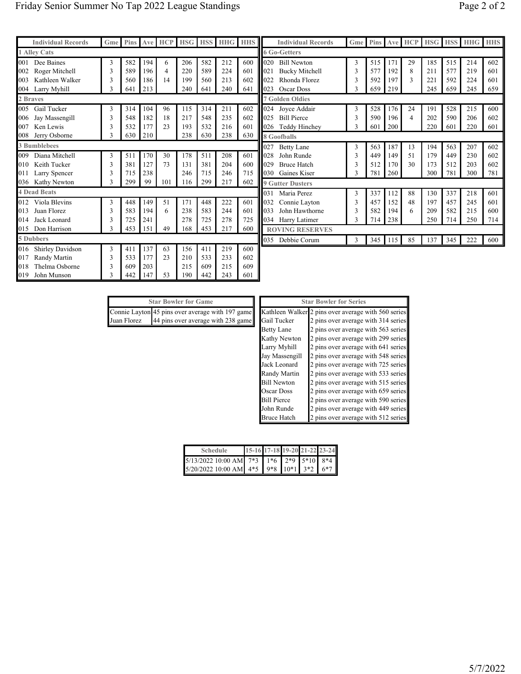| <b>Individual Records</b> | Gme | <b>Pins</b> |     | Ave HCP HSG    |     | <b>HSS</b> | <b>HHG</b> HHS |     |     | <b>Individual F</b>     |
|---------------------------|-----|-------------|-----|----------------|-----|------------|----------------|-----|-----|-------------------------|
| <b>1 Alley Cats</b>       |     |             |     |                |     |            |                |     |     | <b>6 Go-Getters</b>     |
| Dee Baines<br>001         | 3   | 582         | 194 | 6              | 206 | 582        | 212            | 600 | 020 | <b>Bill Newton</b>      |
| Roger Mitchell<br>002     | 3   | 589         | 196 | $\overline{4}$ | 220 | 589        | 224            | 601 | 021 | <b>Bucky Mitcl</b>      |
| Kathleen Walker<br>003    | 3   | 560         | 186 | 14             | 199 | 560        | 213            | 602 | 022 | Rhonda Flor             |
| Larry Myhill<br>004       | 3   | 641         | 213 |                | 240 | 641        | 240            | 641 | 023 | Oscar Doss              |
| 2 Braves                  |     |             |     |                |     |            |                |     |     | <b>7 Golden Oldies</b>  |
| Gail Tucker<br>005        | 3   | 314         | 104 | 96             | 115 | 314        | 211            | 602 | 024 | Joyce Addai             |
| Jay Massengill<br>006     | 3   | 548         | 182 | 18             | 217 | 548        | 235            | 602 | 025 | <b>Bill Pierce</b>      |
| Ken Lewis<br>007          | 3   | 532         | 177 | 23             | 193 | 532        | 216            | 601 | 026 | Teddy Hincl             |
| Jerry Osborne<br>008      | 3   | 630         | 210 |                | 238 | 630        | 238            | 630 |     | 8 Goofballs             |
| <b>3 Bumblebees</b>       |     |             |     |                |     |            |                |     | 027 | <b>Betty Lane</b>       |
| Diana Mitchell<br>009     | 3   | 511         | 170 | 30             | 178 | 511        | 208            | 601 | 028 | John Runde              |
| Keith Tucker<br>010       | 3   | 381         | 127 | 73             | 131 | 381        | 204            | 600 | 029 | <b>Bruce Hatch</b>      |
| Larry Spencer<br>011      | 3   | 715         | 238 |                | 246 | 715        | 246            | 715 | 030 | Gaines Kise             |
| Kathy Newton<br>036       | 3   | 299         | 99  | 101            | 116 | 299        | 217            | 602 |     | <b>9 Gutter Dusters</b> |
| <b>4 Dead Beats</b>       |     |             |     |                |     |            |                |     | 031 | Maria Perez             |
| Viola Blevins<br>012      | 3   | 448         | 149 | 51             | 171 | 448        | 222            | 601 | 032 | Connie Layt             |
| Juan Florez<br>013        | 3   | 583         | 194 | 6              | 238 | 583        | 244            | 601 | 033 | John Hawth              |
| Jack Leonard<br>014       | 3   | 725         | 241 |                | 278 | 725        | 278            | 725 | 034 | Harry Latim             |
| 015<br>Don Harrison       | 3   | 453         | 151 | 49             | 168 | 453        | 217            | 600 |     | <b>ROVING RESE</b>      |
| 5 Dubbers                 |     |             |     |                |     |            |                |     | 035 | Debbie Cort             |
| Shirley Davidson<br>016   | 3   | 411         | 137 | 63             | 156 | 411        | 219            | 600 |     |                         |
| Randy Martin<br>017       | 3   | 533         | 177 | 23             | 210 | 533        | 233            | 602 |     |                         |
| Thelma Osborne<br>018     | 3   | 609         | 203 |                | 215 | 609        | 215            | 609 |     |                         |
| 019<br>John Munson        | 3   | 442         | 147 | 53             | 190 | 442        | 243            | 601 |     |                         |

|     | <b>Individual Records</b> | Gme | <b>Pins</b> |     | Ave HCP        | <b>HSG</b> | <b>HSS</b> | HHG | <b>HHS</b> |
|-----|---------------------------|-----|-------------|-----|----------------|------------|------------|-----|------------|
|     | <b>6 Go-Getters</b>       |     |             |     |                |            |            |     |            |
| 020 | <b>Bill Newton</b>        | 3   | 515         | 171 | 29             | 185        | 515        | 214 | 602        |
| 021 | <b>Bucky Mitchell</b>     | 3   | 577         | 192 | 8              | 211        | 577        | 219 | 601        |
| 022 | Rhonda Florez             | 3   | 592         | 197 | $\mathcal{E}$  | 221        | 592        | 224 | 601        |
| 023 | Oscar Doss                | 3   | 659         | 219 |                | 245        | 659        | 245 | 659        |
|     | <b>7 Golden Oldies</b>    |     |             |     |                |            |            |     |            |
| 024 | Joyce Addair              | 3   | 528         | 176 | 24             | 191        | 528        | 215 | 600        |
| 025 | <b>Bill Pierce</b>        | 3   | 590         | 196 | $\overline{4}$ | 202        | 590        | 206 | 602        |
| 026 | Teddy Hinchey             | 3   | 601         | 200 |                | 220        | 601        | 220 | 601        |
|     | 8 Goofballs               |     |             |     |                |            |            |     |            |
| 027 | <b>Betty Lane</b>         | 3   | 563         | 187 | 13             | 194        | 563        | 207 | 602        |
| 028 | John Runde                | 3   | 449         | 149 | 51             | 179        | 449        | 230 | 602        |
| 029 | <b>Bruce Hatch</b>        | 3   | 512         | 170 | 30             | 173        | 512        | 203 | 602        |
| 030 | Gaines Kiser              | 3   | 781         | 260 |                | 300        | 781        | 300 | 781        |
|     | <b>9 Gutter Dusters</b>   |     |             |     |                |            |            |     |            |
| 031 | Maria Perez               | 3   | 337         | 112 | 88             | 130        | 337        | 218 | 601        |
| 032 | Connie Layton             | 3   | 457         | 152 | 48             | 197        | 457        | 245 | 601        |
| 033 | John Hawthorne            | 3   | 582         | 194 | 6              | 209        | 582        | 215 | 600        |
| 034 | Harry Latimer             | 3   | 714         | 238 |                | 250        | 714        | 250 | 714        |
|     | <b>ROVING RESERVES</b>    |     |             |     |                |            |            |     |            |
| 035 | Debbie Corum              | 3   | 345         | 115 | 85             | 137        | 345        | 222 | 600        |
|     |                           |     |             |     |                |            |            |     |            |

| <b>Star Bowler for Game</b> |                                                  |  |  |  |  |  |  |  |  |  |  |  |
|-----------------------------|--------------------------------------------------|--|--|--|--|--|--|--|--|--|--|--|
|                             | Connie Layton 45 pins over average with 197 game |  |  |  |  |  |  |  |  |  |  |  |
|                             | Juan Florez 44 pins over average with 238 game   |  |  |  |  |  |  |  |  |  |  |  |

| <b>Star Bowler for Series</b> |                                     |  |  |  |  |  |  |  |  |  |  |  |
|-------------------------------|-------------------------------------|--|--|--|--|--|--|--|--|--|--|--|
| Kathleen Walker               | 2 pins over average with 560 series |  |  |  |  |  |  |  |  |  |  |  |
| Gail Tucker                   | 2 pins over average with 314 series |  |  |  |  |  |  |  |  |  |  |  |
| <b>Betty Lane</b>             | 2 pins over average with 563 series |  |  |  |  |  |  |  |  |  |  |  |
| Kathy Newton                  | 2 pins over average with 299 series |  |  |  |  |  |  |  |  |  |  |  |
| Larry Myhill                  | 2 pins over average with 641 series |  |  |  |  |  |  |  |  |  |  |  |
| Jay Massengill                | 2 pins over average with 548 series |  |  |  |  |  |  |  |  |  |  |  |
| Jack Leonard                  | 2 pins over average with 725 series |  |  |  |  |  |  |  |  |  |  |  |
| Randy Martin                  | 2 pins over average with 533 series |  |  |  |  |  |  |  |  |  |  |  |
| <b>Bill Newton</b>            | 2 pins over average with 515 series |  |  |  |  |  |  |  |  |  |  |  |
| <b>Oscar Doss</b>             | 2 pins over average with 659 series |  |  |  |  |  |  |  |  |  |  |  |
| <b>Bill Pierce</b>            | 2 pins over average with 590 series |  |  |  |  |  |  |  |  |  |  |  |
| John Runde                    | 2 pins over average with 449 series |  |  |  |  |  |  |  |  |  |  |  |
| <b>Bruce Hatch</b>            | 2 pins over average with 512 series |  |  |  |  |  |  |  |  |  |  |  |

| <b>Schedule</b>                             | 15-16 17-18 19-20 21-22 23-24 |  |  |
|---------------------------------------------|-------------------------------|--|--|
| 5/13/2022 10:00 AM 7*3 1*6 2*9 5*10 8*4     |                               |  |  |
| $5/20/2022$ 10:00 AM $4*5$ 9*8 10*1 3*2 6*7 |                               |  |  |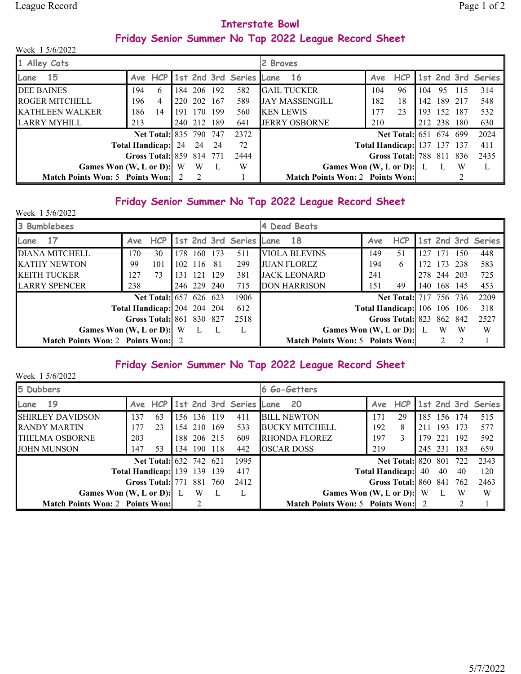### Interstate Bowl Friday Senior Summer No Tap 2022 League Record Sheet

| Week 1 5/6/2022                          |     |                               |                |     |                                 |                  |                                        |     |                                    |      |             |     |                    |
|------------------------------------------|-----|-------------------------------|----------------|-----|---------------------------------|------------------|----------------------------------------|-----|------------------------------------|------|-------------|-----|--------------------|
| 1 Alley Cats                             |     |                               |                |     |                                 | 2 Braves         |                                        |     |                                    |      |             |     |                    |
| <b>15</b><br>Lane                        |     |                               |                |     | Ave HCP 1st 2nd 3rd Series Lane |                  | - 16                                   | Ave | <b>HCP</b>                         |      |             |     | 1st 2nd 3rd Series |
| <b>DEE BAINES</b>                        | 194 | 6                             | 184 206 192    |     | 582                             |                  | <b>GAIL TUCKER</b>                     | 104 | 96                                 | 104  | 95 115      |     | 314                |
| <b>ROGER MITCHELL</b>                    | 196 | $\overline{4}$                | 220 202        | 167 | 589                             |                  | <b>JAY MASSENGILL</b>                  | 182 | 18                                 | 142. | 189 217     |     | 548                |
| <b>KATHLEEN WALKER</b>                   | 186 | 14                            | 191 170 199    |     | 560                             | <b>KEN LEWIS</b> |                                        | 177 | 23                                 |      | 193 152 187 |     | 532                |
| <b>LARRY MYHILL</b>                      | 213 |                               | 240 212 189    |     | 641                             |                  | <b>JERRY OSBORNE</b>                   | 210 |                                    |      | 212 238 180 |     | 630                |
|                                          |     | <b>Net Total: 835 790 747</b> |                |     | 2372                            |                  |                                        |     | <b>Net Total:</b> 651 674 699      |      |             |     | 2024               |
|                                          |     | Total Handicap: 24 24 24      |                |     | 72                              |                  |                                        |     | <b>Total Handicap:</b> 137 137 137 |      |             |     | 411                |
|                                          |     | Gross Total: 859 814 771      |                |     | 2444                            |                  |                                        |     | Gross Total: 788 811 836           |      |             |     | 2435               |
| Games Won $(W, L or D)$ : W              |     |                               | <b>W</b>       |     | W                               |                  | Games Won $(W, L \text{ or } D)$ : L L |     |                                    |      |             | - W | L                  |
| <b>Match Points Won: 5 Points Won:</b> 2 |     |                               | $\overline{2}$ |     |                                 |                  | <b>Match Points Won: 2 Points Won:</b> |     |                                    |      |             |     |                    |

#### Friday Senior Summer No Tap 2022 League Record Sheet

| Week 1 5/6/2022                        |     |                                    |      |             |       |                         |                                        |                                    |                                 |      |         |               |                    |
|----------------------------------------|-----|------------------------------------|------|-------------|-------|-------------------------|----------------------------------------|------------------------------------|---------------------------------|------|---------|---------------|--------------------|
| 3 Bumblebees                           |     |                                    |      |             |       |                         | 4 Dead Beats                           |                                    |                                 |      |         |               |                    |
| 17<br>Lane                             | Ave | <b>HCP</b>                         |      |             |       | 1st 2nd 3rd Series Lane | -18                                    | Ave                                | <b>HCP</b>                      |      |         |               | 1st 2nd 3rd Series |
| <b>DIANA MITCHELL</b>                  | 170 | 30                                 | 178. | 160         | 173   | 511                     | VIOLA BLEVINS                          | 149.                               | -51                             | 127  | 171     | 150           | 448                |
| <b>KATHY NEWTON</b>                    | 99  | 101                                |      | 102 116     | -81   | 299                     | <b>JUAN FLOREZ</b>                     | 194                                | 6                               | 172  | 73      | 238           | 583                |
| <b>KEITH TUCKER</b>                    | 127 | 73                                 | 131  | -121        | - 129 | 381                     | <b>JACK LEONARD</b>                    | 241                                |                                 | 278  | 244     | 203           | 725                |
| <b>LARRY SPENCER</b>                   | 238 |                                    |      | 246 229 240 |       | 715                     | <b>DON HARRISON</b>                    | 151                                | 49                              | 140. | 168 145 |               | 453                |
|                                        |     | <b>Net Total:</b> 657 626 623      |      |             |       | 1906                    |                                        |                                    | <b>Net Total:</b> 717 756 736   |      |         |               | 2209               |
|                                        |     | <b>Total Handicap:</b> 204 204 204 |      |             |       | 612                     |                                        | <b>Total Handicap:</b> 106 106 106 |                                 |      |         |               | 318                |
|                                        |     | <b>Gross Total: 861 830 827</b>    |      |             |       | 2518                    |                                        |                                    | <b>Gross Total: 823 862 842</b> |      |         |               | 2527               |
| Games Won $(W, L or D)$ : W            |     |                                    |      |             |       |                         |                                        | Games Won $(W, L or D)$ : L        |                                 |      | W       | W             | W                  |
| <b>Match Points Won: 2 Points Won:</b> |     |                                    |      |             |       |                         | <b>Match Points Won: 5 Points Won:</b> |                                    |                                 |      |         | $\mathcal{L}$ |                    |

## Friday Senior Summer No Tap 2022 League Record Sheet

| Week 1 5/6/2022                        |     |                                    |     |               |  |                             |  |                                        |     |                        |     |             |       |                    |
|----------------------------------------|-----|------------------------------------|-----|---------------|--|-----------------------------|--|----------------------------------------|-----|------------------------|-----|-------------|-------|--------------------|
| 5 Dubbers                              |     |                                    |     |               |  | 6 Go-Getters                |  |                                        |     |                        |     |             |       |                    |
| 19<br>Lane                             | Ave |                                    |     |               |  | HCP 1st 2nd 3rd Series Lane |  | <b>20</b>                              | Ave | HCP                    |     |             |       | 1st 2nd 3rd Series |
| <b>SHIRLEY DAVIDSON</b>                | 137 | 63                                 |     | 156 136 119   |  | 411                         |  | <b>BILL NEWTON</b>                     | 171 | 29                     |     | 185 156 174 |       | 515                |
| <b>RANDY MARTIN</b>                    | 177 | 23                                 |     | 154 210 169   |  | 533                         |  | <b>BUCKY MITCHELL</b>                  | 192 | 8                      | 211 | 193         | 173   | 577                |
| <b>THELMA OSBORNE</b>                  | 203 |                                    |     | 188 206 215   |  | 609                         |  | <b>RHONDA FLOREZ</b>                   | 197 | 3                      |     | 179 221     | - 192 | 592                |
| <b>JOHN MUNSON</b>                     | 147 | 53                                 | 134 | 190 118       |  | 442                         |  | <b>OSCAR DOSS</b>                      | 219 |                        |     | 245 231     | - 183 | 659                |
|                                        |     | <b>Net Total:</b> 632 742 621      |     |               |  | 1995                        |  |                                        |     | <b>Net Total: 820</b>  |     | -801        | 722   | 2343               |
|                                        |     | <b>Total Handicap:</b> 139 139 139 |     |               |  | 417                         |  |                                        |     | <b>Total Handicap:</b> | 40  | 40          | 40    | 120                |
|                                        |     | <b>Gross Total:</b> 771 881 760    |     |               |  | 2412                        |  |                                        |     | Gross Total: 860 841   |     |             | 762   | 2463               |
| Games Won $(W, L or D)$ : L            |     |                                    |     | W             |  |                             |  | Games Won $(W, L or D)$ : W            |     |                        |     | L           | W     | W                  |
| <b>Match Points Won: 2 Points Won:</b> |     |                                    |     | $\mathcal{D}$ |  |                             |  | <b>Match Points Won: 5 Points Won:</b> |     |                        |     |             | ∍     |                    |